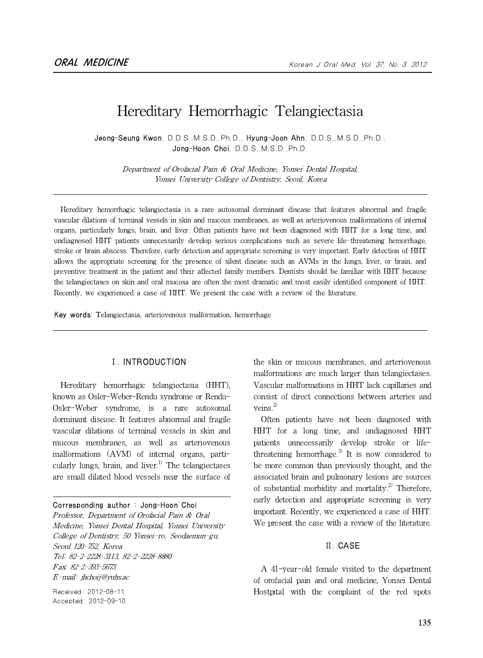# Hereditary Hemorrhagic Telangiectasia

Jeong-Seung Kwon, D.D.S.,M.S.D.,Ph.D., Hyung-Joon Ahn, D.D.S.,M.S.D.,Ph.D., Jong-Hoon Choi, D.D.S.,M.S.D.,Ph.D.

Department of Orofacial Pain & Oral Medicine, Yonsei Dental Hospital, Yonsei University College of Dentistry, Seoul, Korea

Hereditary hemorrhagic telangiectasia is a rare autosomal dorminant disease that features abnormal and fragile vascular dilations of terminal vessels in skin and mucous membranes, as well as arteriovenous malformations of internal organs, particularly lungs, brain, and liver. Often patients have not been diagnosed with HHT for a long time, and undiagnosed HHT patients unnecessarily develop serious complications such as severe life-threatening hemorrhage, stroke or brain abscess. Therefore, early detection and appropriate screening is very important. Early detection of HHT allows the appropriate screening for the presence of silent disease such as AVMs in the lungs, liver, or brain, and preventive treatment in the patient and their affected family members. Dentists should be familiar with HHT because the telangiectases on skin and oral mucosa are often the most dramatic and most easily identified component of HHT. Recently, we experienced a case of HHT. We present the case with a review of the literature.

Key words: Telangiectasia, arteriovenous malformation, hemorrhage

#### 1)ⅠⅠ. INTRODUCTION

Hereditary hemorrhagic telangiectasia (HHT), known as Osler-Weber-Rendu syndrome or Rendu-Osler-Weber syndrome, is a rare autosomal dorminant disease. It features abnormal and fragile vascular dilations of terminal vessels in skin and mucous membranes, as well as arteriovenous malformations (AVM) of internal organs, particularly lungs, brain, and liver.<sup>1)</sup> The telangiectases are small dilated blood vessels near the surface of

Corresponding author : Jong-Hoon Choi Professor, Department of Orofacial Pain & Oral Medicine, Yonsei Dental Hospital, Yonsei University College of Dentistry, 50 Yonsei-ro, Seodaemun-gu, Seoul 120-752, Korea Tel: 82-2-2228-3113, 82-2-2228-8880 Fax: 82-2-393-5673 E-mail: jhchoij@yuhs.ac

Received: 2012-08-11 Accepted: 2012-09-10 the skin or mucous membranes, and arteriovenous malformations are much larger than telangiectases. Vascular malformations in HHT lack capillaries and consist of direct connections between arteries and veins. $^{2)}$ 

Often patients have not been diagnosed with HHT for a long time, and undiagnosed HHT patients unnecessarily develop stroke or lifethreatening hemorrhage.<sup>3)</sup> It is now considered to be more common than previously thought, and the associated brain and pulmonary lesions are sources of substantial morbidity and mortality.<sup>2)</sup> Therefore, early detection and appropriate screening is very important. Recently, we experienced a case of HHT. We present the case with a review of the literature.

#### Ⅱ. CASE

A 41-year-old female visited to the department of orofacial pain and oral medicine, Yonsei Dental Hostpital with the complaint of the red spots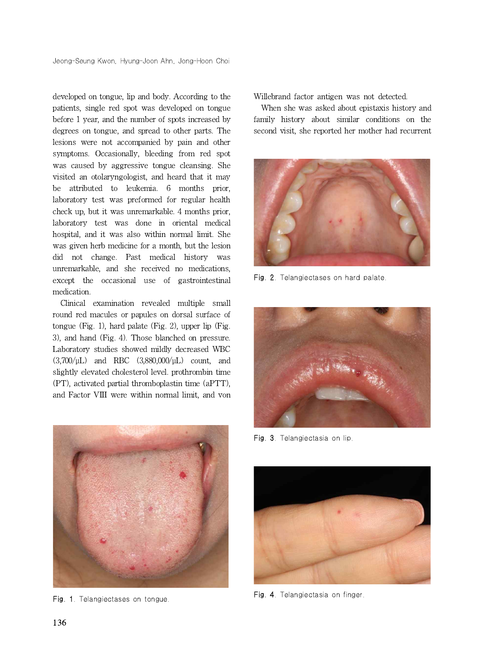developed on tongue, lip and body. According to the patients, single red spot was developed on tongue before 1 year, and the number of spots increased by degrees on tongue, and spread to other parts. The lesions were not accompanied by pain and other symptoms. Occasionally, bleeding from red spot was caused by aggressive tongue cleansing. She visited an otolaryngologist, and heard that it may be attributed to leukemia. 6 months prior, laboratory test was preformed for regular health check up, but it was unremarkable. 4 months prior, laboratory test was done in oriental medical hospital, and it was also within normal limit. She was given herb medicine for a month, but the lesion did not change. Past medical history was unremarkable, and she received no medications, except the occasional use of gastrointestinal medication.

Clinical examination revealed multiple small round red macules or papules on dorsal surface of tongue (Fig. 1), hard palate (Fig. 2), upper lip (Fig. 3), and hand (Fig. 4). Those blanched on pressure. Laboratory studies showed mildly decreased WBC (3,700/μL) and RBC (3,880,000/μL) count, and slightly elevated cholesterol level. prothrombin time (PT), activated partial thromboplastin time (aPTT), and Factor VIII were within normal limit, and von



Fig. 1. Telangiectases on tongue.

Willebrand factor antigen was not detected.

When she was asked about epistaxis history and family history about similar conditions on the second visit, she reported her mother had recurrent



Fig. 2. Telangiectases on hard palate.



Fig. 3. Telangiectasia on lip.



Fig. 4. Telangiectasia on finger.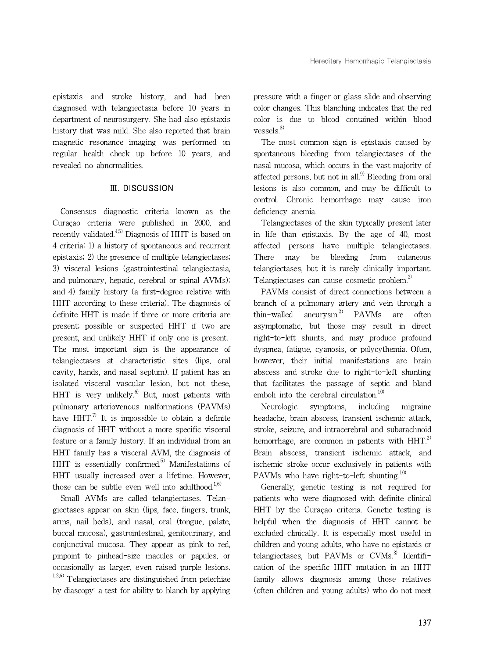epistaxis and stroke history, and had been diagnosed with telangiectasia before 10 years in department of neurosurgery. She had also epistaxis history that was mild. She also reported that brain magnetic resonance imaging was performed on regular health check up before 10 years, and revealed no abnormalities.

### Ⅲ. DISCUSSION

Consensus diagnostic criteria known as the Curaçao criteria were published in 2000, and recently validated.<sup>4,5)</sup> Diagnosis of HHT is based on 4 criteria: 1) a history of spontaneous and recurrent epistaxis; 2) the presence of multiple telangiectases; 3) visceral lesions (gastrointestinal telangiectasia, and pulmonary, hepatic, cerebral or spinal AVMs); and 4) family history (a first-degree relative with HHT according to these criteria). The diagnosis of definite HHT is made if three or more criteria are thin-walled present; possible or suspected HHT if two are present, and unlikely HHT if only one is present. The most important sign is the appearance of telangiectases at characteristic sites (lips, oral cavity, hands, and nasal septum). If patient has an isolated visceral vascular lesion, but not these, HHT is very unlikely. $^{6)}$  But, most patients with pulmonary arteriovenous malformations (PAVMs) have  $HHT<sup>7</sup>$  It is impossible to obtain a definite diagnosis of HHT without a more specific visceral feature or a family history. If an individual from an HHT family has a visceral AVM, the diagnosis of HHT is essentially confirmed.<sup>5)</sup> Manifestations of HHT usually increased over a lifetime. However, those can be subtle even well into adulthood.<sup>1,6)</sup>

Small AVMs are called telangiectases. Telangiectases appear on skin (lips, face, fingers, trunk, arms, nail beds), and nasal, oral (tongue, palate, buccal mucosa), gastrointestinal, genitourinary, and conjunctival mucosa. They appear as pink to red, pinpoint to pinhead-size macules or papules, or occasionally as larger, even raised purple lesions.  $1,2,6$ ) Telangiectases are distinguished from petechiae by diascopy: a test for ability to blanch by applying pressure with a finger or glass slide and observing color changes. This blanching indicates that the red color is due to blood contained within blood  $v$ essels. $8)$ 

The most common sign is epistaxis caused by spontaneous bleeding from telangiectases of the nasal mucosa, which occurs in the vast majority of affected persons, but not in all. $9$  Bleeding from oral lesions is also common, and may be difficult to control. Chronic hemorrhage may cause iron deficiency anemia.

Telangiectases of the skin typically present later in life than epistaxis. By the age of 40, most affected persons have multiple telangiectases. There may be bleeding from cutaneous telangiectases, but it is rarely clinically important. Telangiectases can cause cosmetic problem.<sup>2)</sup>

PAVMs consist of direct connections between a branch of a pulmonary artery and vein through a aneurysm.<sup>2)</sup> PAVMs are often asymptomatic, but those may result in direct right-to-left shunts, and may produce profound dyspnea, fatigue, cyanosis, or polycythemia. Often, however, their initial manifestations are brain abscess and stroke due to right-to-left shunting that facilitates the passage of septic and bland emboli into the cerebral circulation.<sup>10)</sup>

Neurologic symptoms, including migraine headache, brain abscess, transient ischemic attack, stroke, seizure, and intracerebral and subarachnoid hemorrhage, are common in patients with  $HHT$ <sup>2)</sup> Brain abscess, transient ischemic attack, and ischemic stroke occur exclusively in patients with PAVMs who have right-to-left shunting.<sup>10)</sup>

Generally, genetic testing is not required for patients who were diagnosed with definite clinical HHT by the Curaçao criteria. Genetic testing is helpful when the diagnosis of HHT cannot be excluded clinically. It is especially most useful in children and young adults, who have no epistaxis or telangiectases, but PAVMs or CVMs.<sup>3)</sup> Identification of the specific HHT mutation in an HHT family allows diagnosis among those relatives (often children and young adults) who do not meet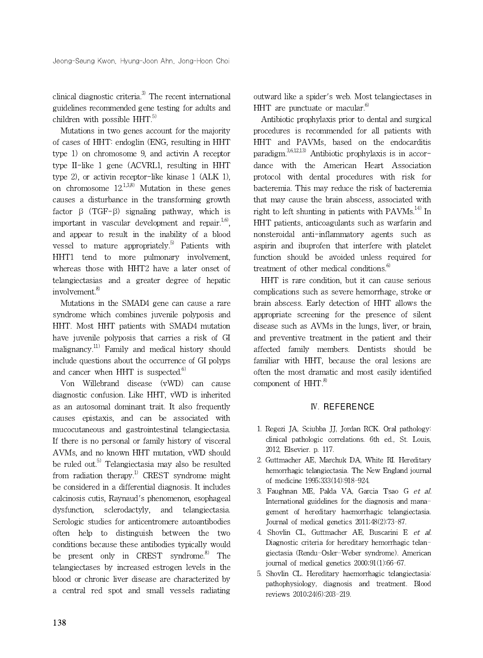clinical diagnostic criteria.<sup>3)</sup> The recent international guidelines recommended gene testing for adults and children with possible HHT.<sup>5)</sup>

Mutations in two genes account for the majority of cases of HHT: endoglin (ENG, resulting in HHT type 1) on chromosome 9, and activin A receptor type II-like 1 gene (ACVRL1, resulting in HHT type 2), or activin receptor-like kinase 1 (ALK 1), on chromosome  $12^{1,3,8}$  Mutation in these genes causes a disturbance in the transforming growth factor  $\beta$  (TGF- $\beta$ ) signaling pathway, which is important in vascular development and repair.<sup>1,6)</sup>, and appear to result in the inability of a blood vessel to mature appropriately.<sup>5)</sup> Patients with HHT1 tend to more pulmonary involvement, whereas those with HHT2 have a later onset of telangiectasias and a greater degree of hepatic involvement.<sup>8)</sup>

Mutations in the SMAD4 gene can cause a rare syndrome which combines juvenile polyposis and HHT. Most HHT patients with SMAD4 mutation have juvenile polyposis that carries a risk of GI malignancy.<sup>11)</sup> Family and medical history should include questions about the occurrence of GI polyps and cancer when HHT is suspected. $6$ )

Von Willebrand disease (vWD) can cause diagnostic confusion. Like HHT, vWD is inherited as an autosomal dominant trait. It also frequently causes epistaxis, and can be associated with mucocutaneous and gastrointestinal telangiectasia. If there is no personal or family history of visceral AVMs, and no known HHT mutation, vWD should be ruled out.<sup>5)</sup> Telangiectasia may also be resulted from radiation therapy.<sup>1)</sup> CREST syndrome might be considered in a differential diagnosis. It includes calcinosis cutis, Raynaud's phenomenon, esophageal dysfunction, sclerodactyly, and telangiectasia. Serologic studies for anticentromere autoantibodies often help to distinguish between the two conditions because these antibodies typically would be present only in CREST syndrome. $8^{\circ}$  The telangiectases by increased estrogen levels in the blood or chronic liver disease are characterized by a central red spot and small vessels radiating

outward like a spider's web. Most telangiectases in HHT are punctuate or macular. $6$ )

Antibiotic prophylaxis prior to dental and surgical procedures is recommended for all patients with HHT and PAVMs, based on the endocarditis paradigm. $3,6,12,13$  Antibiotic prophylaxis is in accordance with the American Heart Association protocol with dental procedures with risk for bacteremia. This may reduce the risk of bacteremia that may cause the brain abscess, associated with right to left shunting in patients with  $PAVMs<sup>14</sup>$  In HHT patients, anticoagulants such as warfarin and nonsteroidal anti-inflammatory agents such as aspirin and ibuprofen that interfere with platelet function should be avoided unless required for treatment of other medical conditions. $6$ )

HHT is rare condition, but it can cause serious complications such as severe hemorrhage, stroke or brain abscess. Early detection of HHT allows the appropriate screening for the presence of silent disease such as AVMs in the lungs, liver, or brain, and preventive treatment in the patient and their affected family members. Dentists should be familiar with HHT, because the oral lesions are often the most dramatic and most easily identified component of  $HHT$ .<sup>8)</sup>

## Ⅳ. REFERENCE

- 1. Regezi JA, Sciubba JJ, Jordan RCK. Oral pathology: clinical pathologic correlations. 6th ed., St. Louis, 2012, Elsevier. p. 117.
- 2. Guttmacher AE, Marchuk DA, White RI. Hereditary hemorrhagic telangiectasia. The New England journal of medicine 1995;333(14):918-924.
- 3. Faughnan ME, Palda VA, Garcia Tsao G et al. International guidelines for the diagnosis and management of hereditary haemorrhagic telangiectasia. Journal of medical genetics 2011;48(2):73-87.
- 4. Shovlin CL, Guttmacher AE, Buscarini E et al. Diagnostic criteria for hereditary hemorrhagic telangiectasia (Rendu-Osler-Weber syndrome). American journal of medical genetics 2000;91(1):66-67.
- 5. Shovlin CL. Hereditary haemorrhagic telangiectasia: pathophysiology, diagnosis and treatment. Blood reviews 2010;24(6):203-219.